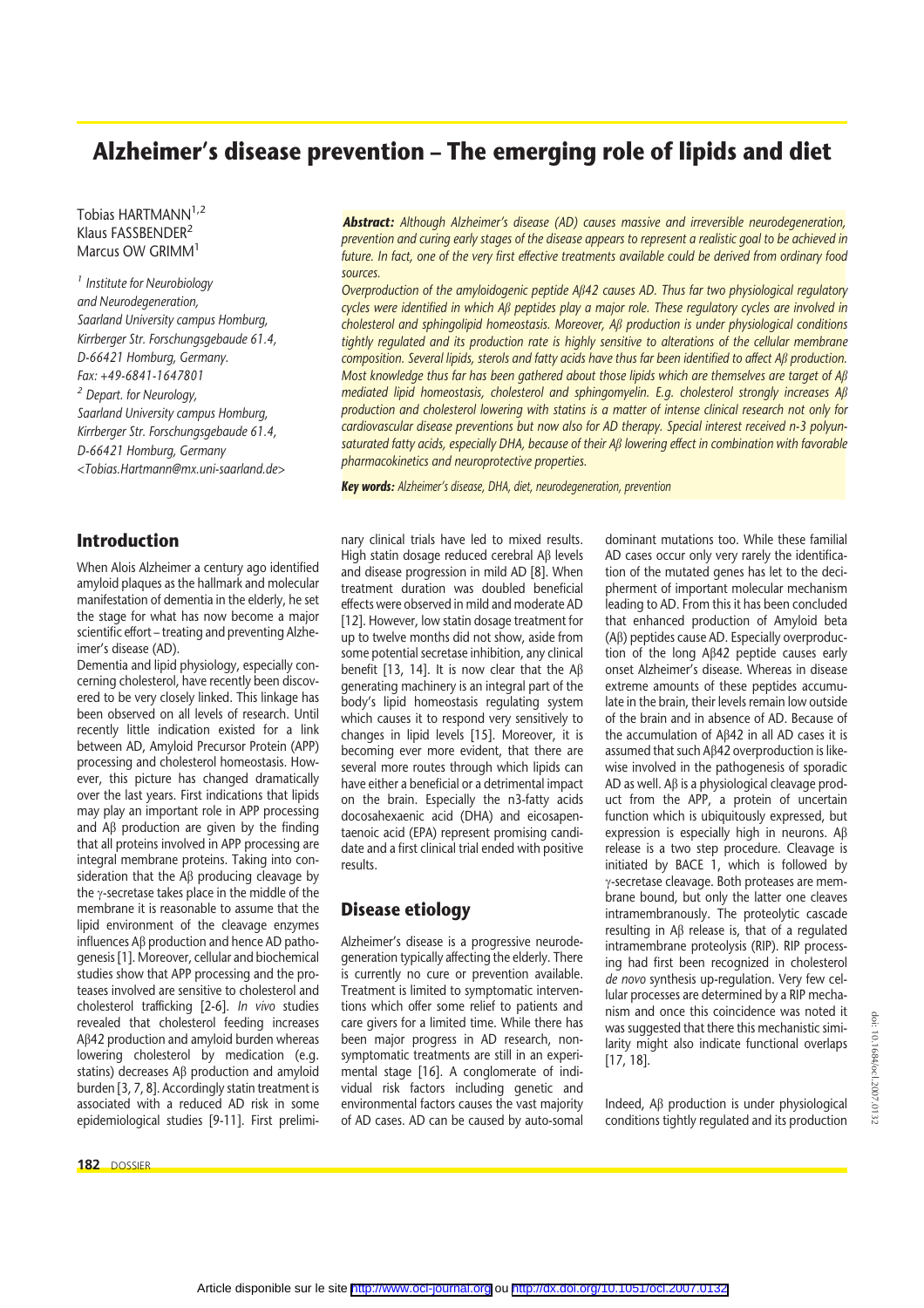# **Alzheimer's disease prevention – The emerging role of lipids and diet**

Tobias HARTMANN<sup>1,2</sup> Klaus FASSBENDER<sup>2</sup> Marcus OW GRIMM<sup>1</sup>

*<sup>1</sup> Institute for Neurobiology and Neurodegeneration, Saarland University campus Homburg, Kirrberger Str. Forschungsgebaude 61.4, D-66421 Homburg, Germany. Fax: +49-6841-1647801 <sup>2</sup> Depart. for Neurology, Saarland University campus Homburg, Kirrberger Str. Forschungsgebaude 61.4, D-66421 Homburg, Germany <Tobias.Hartmann@mx.uni-saarland.de>*

**Introduction**

When Alois Alzheimer a century ago identified amyloid plaques as the hallmark and molecular manifestation of dementia in the elderly, he set the stage for what has now become a major scientific effort – treating and preventing Alzheimer's disease (AD).

Dementia and lipid physiology, especially concerning cholesterol, have recently been discovered to be very closely linked. This linkage has been observed on all levels of research. Until recently little indication existed for a link between AD, Amyloid Precursor Protein (APP) processing and cholesterol homeostasis. However, this picture has changed dramatically over the last years. First indications that lipids may play an important role in APP processing and  $\mathsf{A}\beta$  production are given by the finding that all proteins involved in APP processing are integral membrane proteins. Taking into consideration that the  $\mathsf{AB}$  producing cleavage by the  $\gamma$ -secretase takes place in the middle of the membrane it is reasonable to assume that the lipid environment of the cleavage enzymes influences  $\mathsf{A}\mathsf{B}$  production and hence  $\mathsf{A}\mathsf{D}$  pathogenesis [1]. Moreover, cellular and biochemical studies show that APP processing and the proteases involved are sensitive to cholesterol and cholesterol trafficking [2-6]. *In vivo* studies revealed that cholesterol feeding increases Ab42 production and amyloid burden whereas lowering cholesterol by medication (e.g. statins) decreases  $\mathsf{AB}$  production and amyloid burden [3, 7, 8]. Accordingly statin treatment is associated with a reduced AD risk in some epidemiological studies [9-11]. First prelimi-

**182** DOSSIER

*Abstract: Although Alzheimer's disease (AD) causes massive and irreversible neurodegeneration, prevention and curing early stages of the disease appears to represent a realistic goal to be achieved in future. In fact, one of the very first effective treatments available could be derived from ordinary food sources.*

*Overproduction of the amyloidogenic peptide Ab42 causes AD. Thus far two physiological regulatory cycles were identified in which Ab peptides play a major role. These regulatory cycles are involved in cholesterol and sphingolipid homeostasis. Moreover, Ab production is under physiological conditions tightly regulated and its production rate is highly sensitive to alterations of the cellular membrane composition. Several lipids, sterols and fatty acids have thus far been identified to affect Ab production. Most knowledge thus far has been gathered about those lipids which are themselves are target of Ab mediated lipid homeostasis, cholesterol and sphingomyelin. E.g. cholesterol strongly increases Ab production and cholesterol lowering with statins is a matter of intense clinical research not only for cardiovascular disease preventions but now also for AD therapy. Special interest received n-3 polyunsaturated fatty acids, especially DHA, because of their Ab lowering effect in combination with favorable pharmacokinetics and neuroprotective properties.*

*Key words: Alzheimer's disease, DHA, diet, neurodegeneration, prevention*

nary clinical trials have led to mixed results. High statin dosage reduced cerebral Ab levels and disease progression in mild AD [8]. When treatment duration was doubled beneficial effects were observed in mild and moderate AD [12]. However, low statin dosage treatment for up to twelve months did not show, aside from some potential secretase inhibition, any clinical benefit [13, 14]. It is now clear that the  $\mathsf{AB}$ generating machinery is an integral part of the body's lipid homeostasis regulating system which causes it to respond very sensitively to changes in lipid levels [15]. Moreover, it is becoming ever more evident, that there are several more routes through which lipids can have either a beneficial or a detrimental impact on the brain. Especially the n3-fatty acids docosahexaenic acid (DHA) and eicosapentaenoic acid (EPA) represent promising candidate and a first clinical trial ended with positive results.

### **Disease etiology**

Alzheimer's disease is a progressive neurodegeneration typically affecting the elderly. There is currently no cure or prevention available. Treatment is limited to symptomatic interventions which offer some relief to patients and care givers for a limited time. While there has been major progress in AD research, nonsymptomatic treatments are still in an experimental stage [16]. A conglomerate of individual risk factors including genetic and environmental factors causes the vast majority of AD cases. AD can be caused by auto-somal dominant mutations too. While these familial AD cases occur only very rarely the identification of the mutated genes has let to the decipherment of important molecular mechanism leading to AD. From this it has been concluded that enhanced production of Amyloid beta (Ab) peptides cause AD. Especially overproduction of the long  $A\beta 42$  peptide causes early onset Alzheimer's disease. Whereas in disease extreme amounts of these peptides accumulate in the brain, their levels remain low outside of the brain and in absence of AD. Because of the accumulation of  $A\beta 42$  in all AD cases it is assumed that such A $\beta$ 42 overproduction is likewise involved in the pathogenesis of sporadic  $AD$  as well. A $\beta$  is a physiological cleavage product from the APP, a protein of uncertain function which is ubiquitously expressed, but expression is especially high in neurons.  $AB$ release is a two step procedure. Cleavage is initiated by BACE 1, which is followed by c-secretase cleavage. Both proteases are membrane bound, but only the latter one cleaves intramembranously. The proteolytic cascade resulting in  $A\beta$  release is, that of a regulated intramembrane proteolysis (RIP). RIP processing had first been recognized in cholesterol *de novo* synthesis up-regulation. Very few cellular processes are determined by a RIP mechanism and once this coincidence was noted it was suggested that there this mechanistic similarity might also indicate functional overlaps [17, 18].

Indeed, Ab production is under physiological conditions tightly regulated and its production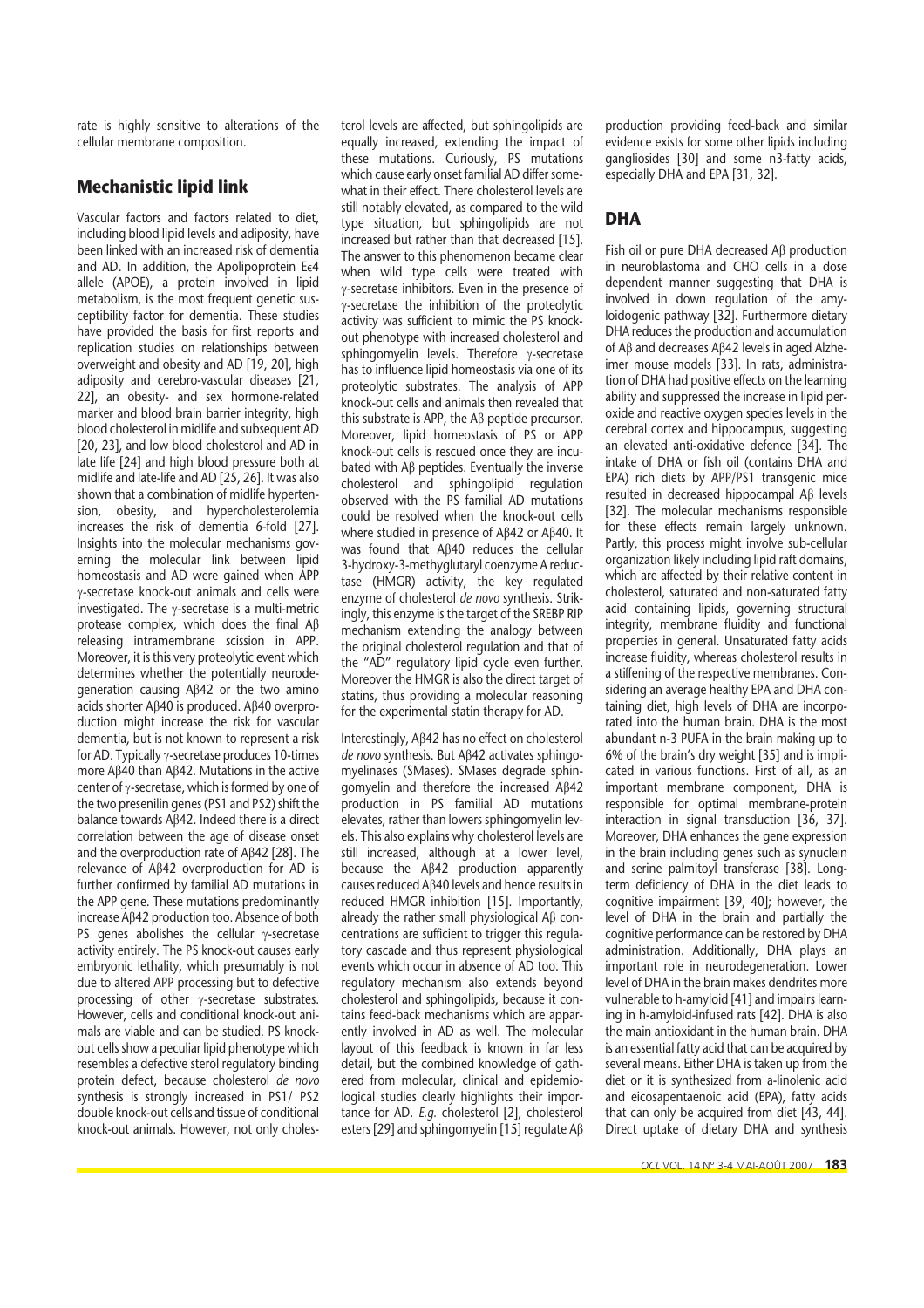rate is highly sensitive to alterations of the cellular membrane composition.

## **Mechanistic lipid link**

Vascular factors and factors related to diet, including blood lipid levels and adiposity, have been linked with an increased risk of dementia and AD. In addition, the Apolipoprotein Ee4 allele (APOE), a protein involved in lipid metabolism, is the most frequent genetic susceptibility factor for dementia. These studies have provided the basis for first reports and replication studies on relationships between overweight and obesity and AD [19, 20], high adiposity and cerebro-vascular diseases [21, 22], an obesity- and sex hormone-related marker and blood brain barrier integrity, high blood cholesterol in midlife and subsequent AD [20, 23], and low blood cholesterol and AD in late life [24] and high blood pressure both at midlife and late-life and AD [25, 26]. It was also shown that a combination of midlife hypertension, obesity, and hypercholesterolemia increases the risk of dementia 6-fold [27]. Insights into the molecular mechanisms governing the molecular link between lipid homeostasis and AD were gained when APP  $v$ -secretase knock-out animals and cells were investigated. The  $\gamma$ -secretase is a multi-metric protease complex, which does the final Ab releasing intramembrane scission in APP. Moreover, it is this very proteolytic event which determines whether the potentially neurodegeneration causing  $AB42$  or the two amino acids shorter A $\beta$ 40 is produced. A $\beta$ 40 overproduction might increase the risk for vascular dementia, but is not known to represent a risk for AD. Typically  $\gamma$ -secretase produces 10-times more A $\beta$ 40 than A $\beta$ 42. Mutations in the active center of  $\gamma$ -secretase, which is formed by one of the two presenilin genes (PS1 and PS2) shift the balance towards  $A\beta42$ . Indeed there is a direct correlation between the age of disease onset and the overproduction rate of  $A\beta 42$  [28]. The relevance of Ab42 overproduction for AD is further confirmed by familial AD mutations in the APP gene. These mutations predominantly increase Ab42 production too. Absence of both PS genes abolishes the cellular  $\gamma$ -secretase activity entirely. The PS knock-out causes early embryonic lethality, which presumably is not due to altered APP processing but to defective processing of other  $\gamma$ -secretase substrates. However, cells and conditional knock-out animals are viable and can be studied. PS knockout cells show a peculiar lipid phenotype which resembles a defective sterol regulatory binding protein defect, because cholesterol *de novo* synthesis is strongly increased in PS1/ PS2 double knock-out cells and tissue of conditional knock-out animals. However, not only cholesterol levels are affected, but sphingolipids are equally increased, extending the impact of these mutations. Curiously, PS mutations which cause early onset familial AD differ somewhat in their effect. There cholesterol levels are still notably elevated, as compared to the wild type situation, but sphingolipids are not increased but rather than that decreased [15]. The answer to this phenomenon became clear when wild type cells were treated with  $\gamma$ -secretase inhibitors. Even in the presence of  $\gamma$ -secretase the inhibition of the proteolytic activity was sufficient to mimic the PS knockout phenotype with increased cholesterol and sphingomyelin levels. Therefore  $v$ -secretase has to influence lipid homeostasis via one of its proteolytic substrates. The analysis of APP knock-out cells and animals then revealed that this substrate is APP, the Ab peptide precursor. Moreover, lipid homeostasis of PS or APP knock-out cells is rescued once they are incubated with A $\beta$  peptides. Eventually the inverse cholesterol and sphingolipid regulation observed with the PS familial AD mutations could be resolved when the knock-out cells where studied in presence of AB42 or AB40. It was found that  $A\beta 40$  reduces the cellular 3-hydroxy-3-methyglutaryl coenzyme A reductase (HMGR) activity, the key regulated enzyme of cholesterol *de novo* synthesis. Strikingly, this enzyme is the target of the SREBP RIP mechanism extending the analogy between the original cholesterol regulation and that of the "AD" regulatory lipid cycle even further. Moreover the HMGR is also the direct target of statins, thus providing a molecular reasoning for the experimental statin therapy for AD.

Interestingly, Aβ42 has no effect on cholesterol *de novo* synthesis. But Ab42 activates sphingomyelinases (SMases). SMases degrade sphingomyelin and therefore the increased Ab42 production in PS familial AD mutations elevates, rather than lowers sphingomyelin levels. This also explains why cholesterol levels are still increased, although at a lower level, because the  $A\beta 42$  production apparently causes reduced Ab40 levels and hence results in reduced HMGR inhibition [15]. Importantly, already the rather small physiological  $AB$  concentrations are sufficient to trigger this regulatory cascade and thus represent physiological events which occur in absence of AD too. This regulatory mechanism also extends beyond cholesterol and sphingolipids, because it contains feed-back mechanisms which are apparently involved in AD as well. The molecular layout of this feedback is known in far less detail, but the combined knowledge of gathered from molecular, clinical and epidemiological studies clearly highlights their importance for AD. *E.g.* cholesterol [2], cholesterol esters [29] and sphingomyelin [15] regulate A $\beta$  production providing feed-back and similar evidence exists for some other lipids including gangliosides [30] and some n3-fatty acids, especially DHA and EPA [31, 32].

# **DHA**

Fish oil or pure DHA decreased A<sub>B</sub> production in neuroblastoma and CHO cells in a dose dependent manner suggesting that DHA is involved in down regulation of the amyloidogenic pathway [32]. Furthermore dietary DHA reduces the production and accumulation of  $A\beta$  and decreases  $A\beta 42$  levels in aged Alzheimer mouse models [33]. In rats, administration of DHA had positive effects on the learning ability and suppressed the increase in lipid peroxide and reactive oxygen species levels in the cerebral cortex and hippocampus, suggesting an elevated anti-oxidative defence [34]. The intake of DHA or fish oil (contains DHA and EPA) rich diets by APP/PS1 transgenic mice resulted in decreased hippocampal  $\mathsf{A}\beta$  levels [32]. The molecular mechanisms responsible for these effects remain largely unknown. Partly, this process might involve sub-cellular organization likely including lipid raft domains, which are affected by their relative content in cholesterol, saturated and non-saturated fatty acid containing lipids, governing structural integrity, membrane fluidity and functional properties in general. Unsaturated fatty acids increase fluidity, whereas cholesterol results in a stiffening of the respective membranes. Considering an average healthy EPA and DHA containing diet, high levels of DHA are incorporated into the human brain. DHA is the most abundant n-3 PUFA in the brain making up to 6% of the brain's dry weight [35] and is implicated in various functions. First of all, as an important membrane component, DHA is responsible for optimal membrane-protein interaction in signal transduction [36, 37]. Moreover, DHA enhances the gene expression in the brain including genes such as synuclein and serine palmitoyl transferase [38]. Longterm deficiency of DHA in the diet leads to cognitive impairment [39, 40]; however, the level of DHA in the brain and partially the cognitive performance can be restored by DHA administration. Additionally, DHA plays an important role in neurodegeneration. Lower level of DHA in the brain makes dendrites more vulnerable to h-amyloid [41] and impairs learning in h-amyloid-infused rats [42]. DHA is also the main antioxidant in the human brain. DHA is an essential fatty acid that can be acquired by several means. Either DHA is taken up from the diet or it is synthesized from a-linolenic acid and eicosapentaenoic acid (EPA), fatty acids that can only be acquired from diet [43, 44]. Direct uptake of dietary DHA and synthesis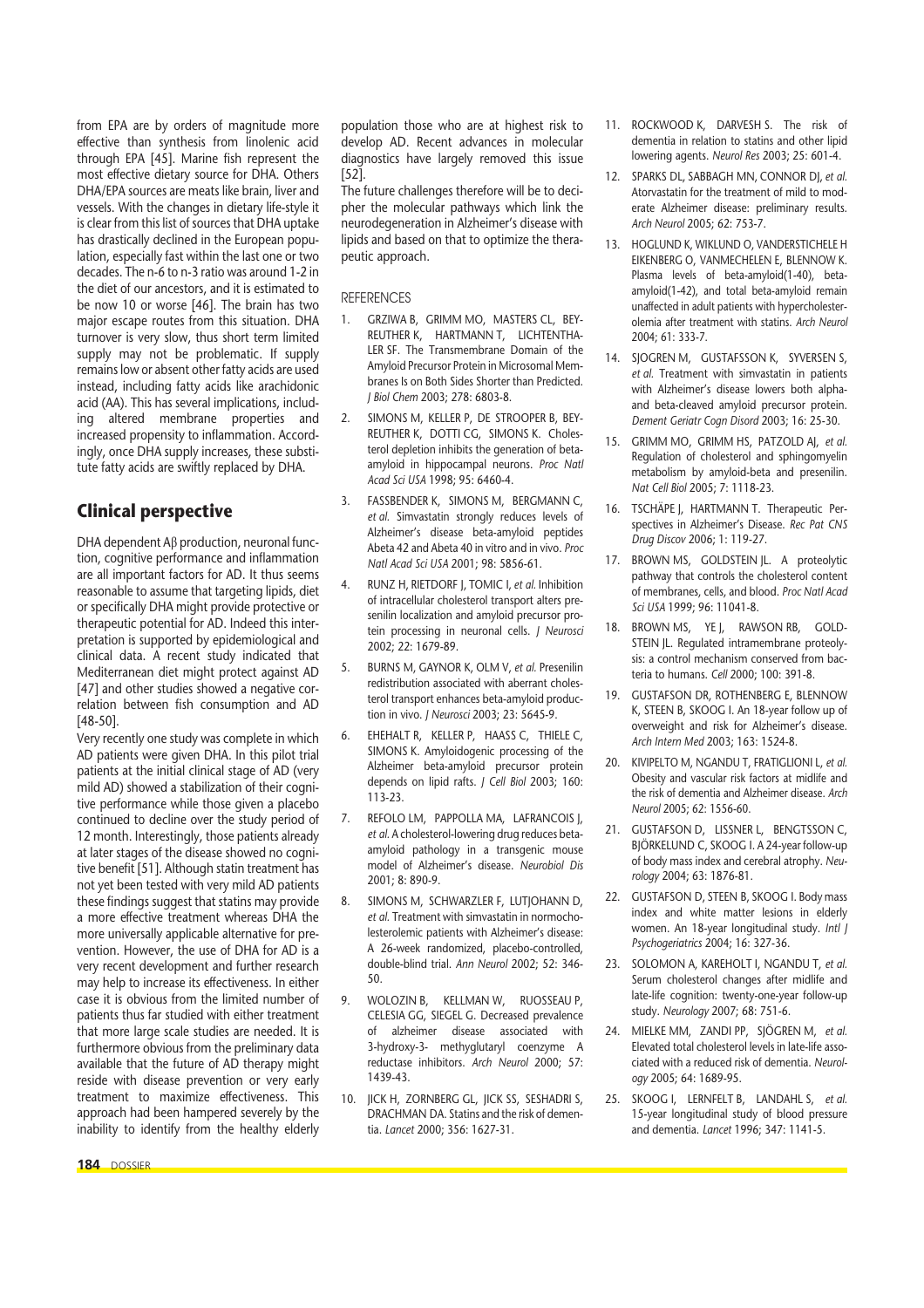from EPA are by orders of magnitude more effective than synthesis from linolenic acid through EPA [45]. Marine fish represent the most effective dietary source for DHA. Others DHA/EPA sources are meats like brain, liver and vessels. With the changes in dietary life-style it is clear from this list of sources that DHA uptake has drastically declined in the European population, especially fast within the last one or two decades. The n-6 to n-3 ratio was around 1-2 in the diet of our ancestors, and it is estimated to be now 10 or worse [46]. The brain has two major escape routes from this situation. DHA turnover is very slow, thus short term limited supply may not be problematic. If supply remains low or absent other fatty acids are used instead, including fatty acids like arachidonic acid (AA). This has several implications, including altered membrane properties and increased propensity to inflammation. Accordingly, once DHA supply increases, these substitute fatty acids are swiftly replaced by DHA.

# **Clinical perspective**

DHA dependent  $A\beta$  production, neuronal function, cognitive performance and inflammation are all important factors for AD. It thus seems reasonable to assume that targeting lipids, diet or specifically DHA might provide protective or therapeutic potential for AD. Indeed this interpretation is supported by epidemiological and clinical data. A recent study indicated that Mediterranean diet might protect against AD [47] and other studies showed a negative correlation between fish consumption and AD [48-50].

Very recently one study was complete in which AD patients were given DHA. In this pilot trial patients at the initial clinical stage of AD (very mild AD) showed a stabilization of their cognitive performance while those given a placebo continued to decline over the study period of 12 month. Interestingly, those patients already at later stages of the disease showed no cognitive benefit [51]. Although statin treatment has not yet been tested with very mild AD patients these findings suggest that statins may provide a more effective treatment whereas DHA the more universally applicable alternative for prevention. However, the use of DHA for AD is a very recent development and further research may help to increase its effectiveness. In either case it is obvious from the limited number of patients thus far studied with either treatment that more large scale studies are needed. It is furthermore obvious from the preliminary data available that the future of AD therapy might reside with disease prevention or very early treatment to maximize effectiveness. This approach had been hampered severely by the inability to identify from the healthy elderly

population those who are at highest risk to develop AD. Recent advances in molecular diagnostics have largely removed this issue [52].

The future challenges therefore will be to decipher the molecular pathways which link the neurodegeneration in Alzheimer's disease with lipids and based on that to optimize the therapeutic approach.

#### **REFERENCES**

- 1. GRZIWA B, GRIMM MO, MASTERS CL, BEY-REUTHER K, HARTMANN T, LICHTENTHA-LER SF. The Transmembrane Domain of the Amyloid Precursor Protein in Microsomal Membranes Is on Both Sides Shorter than Predicted. *J Biol Chem* 2003; 278: 6803-8.
- 2. SIMONS M, KELLER P, DE STROOPER B, BEY-REUTHER K, DOTTI CG, SIMONS K. Cholesterol depletion inhibits the generation of betaamyloid in hippocampal neurons. *Proc Natl Acad Sci USA* 1998; 95: 6460-4.
- FASSBENDER K, SIMONS M, BERGMANN C, *et al.* Simvastatin strongly reduces levels of Alzheimer's disease beta-amyloid peptides Abeta 42 and Abeta 40 in vitro and in vivo. *Proc Natl Acad Sci USA* 2001; 98: 5856-61.
- 4. RUNZ H, RIETDORF J, TOMIC I, *et al.* Inhibition of intracellular cholesterol transport alters presenilin localization and amyloid precursor protein processing in neuronal cells. *J Neurosci* 2002; 22: 1679-89.
- 5. BURNS M, GAYNOR K, OLM V, *et al.* Presenilin redistribution associated with aberrant cholesterol transport enhances beta-amyloid production in vivo. *J Neurosci* 2003; 23: 5645-9.
- 6. EHEHALT R, KELLER P, HAASS C, THIELE C, SIMONS K. Amyloidogenic processing of the Alzheimer beta-amyloid precursor protein depends on lipid rafts. *J Cell Biol* 2003; 160: 113-23.
- 7. REFOLO LM, PAPPOLLA MA, LAFRANCOIS J, *et al.* A cholesterol-lowering drug reduces betaamyloid pathology in a transgenic mouse model of Alzheimer's disease. *Neurobiol Dis* 2001; 8: 890-9.
- 8. SIMONS M, SCHWARZLER F, LUTIOHANN D, *et al.* Treatment with simvastatin in normocholesterolemic patients with Alzheimer's disease: A 26-week randomized, placebo-controlled, double-blind trial. *Ann Neurol* 2002; 52: 346- 50.
- 9. WOLOZIN B, KELLMAN W, RUOSSEAU P, CELESIA GG, SIEGEL G. Decreased prevalence of alzheimer disease associated with 3-hydroxy-3- methyglutaryl coenzyme A reductase inhibitors. *Arch Neurol* 2000; 57: 1439-43.
- 10. JICK H, ZORNBERG GL, JICK SS, SESHADRI S, DRACHMAN DA. Statins and the risk of dementia. *Lancet* 2000; 356: 1627-31.
- 11. ROCKWOOD K, DARVESH S. The risk of dementia in relation to statins and other lipid lowering agents. *Neurol Res* 2003; 25: 601-4.
- 12. SPARKS DL, SABBAGH MN, CONNOR DJ, *et al.* Atorvastatin for the treatment of mild to moderate Alzheimer disease: preliminary results. *Arch Neurol* 2005; 62: 753-7.
- 13. HOGLUND K, WIKLUND O, VANDERSTICHELE H EIKENBERG O, VANMECHELEN E, BLENNOW K. Plasma levels of beta-amyloid(1-40), betaamyloid(1-42), and total beta-amyloid remain unaffected in adult patients with hypercholesterolemia after treatment with statins. *Arch Neurol* 2004; 61: 333-7.
- 14. SJOGREN M, GUSTAFSSON K, SYVERSEN S, *et al.* Treatment with simvastatin in patients with Alzheimer's disease lowers both alphaand beta-cleaved amyloid precursor protein. *Dement Geriatr Cogn Disord* 2003; 16: 25-30.
- 15. GRIMM MO, GRIMM HS, PATZOLD AJ, *et al.* Regulation of cholesterol and sphingomyelin metabolism by amyloid-beta and presenilin. *Nat Cell Biol* 2005; 7: 1118-23.
- 16. TSCHÄPE J, HARTMANN T. Therapeutic Perspectives in Alzheimer's Disease. *Rec Pat CNS Drug Discov* 2006; 1: 119-27.
- 17. BROWN MS, GOLDSTEIN JL. A proteolytic pathway that controls the cholesterol content of membranes, cells, and blood. *Proc Natl Acad Sci USA* 1999; 96: 11041-8.
- 18. BROWN MS, YE J, RAWSON RB, GOLD-STEIN JL. Regulated intramembrane proteolysis: a control mechanism conserved from bacteria to humans. *Cell* 2000; 100: 391-8.
- 19. GUSTAFSON DR, ROTHENBERG E, BLENNOW K, STEEN B, SKOOG I. An 18-year follow up of overweight and risk for Alzheimer's disease. *Arch Intern Med* 2003; 163: 1524-8.
- 20. KIVIPELTO M, NGANDU T, FRATIGLIONI L, *et al.* Obesity and vascular risk factors at midlife and the risk of dementia and Alzheimer disease. *Arch Neurol* 2005; 62: 1556-60.
- 21. GUSTAFSON D, LISSNER L, BENGTSSON C, BJÖRKELUND C, SKOOG I. A 24-year follow-up of body mass index and cerebral atrophy. *Neurology* 2004; 63: 1876-81.
- 22. GUSTAFSON D, STEEN B, SKOOG I. Body mass index and white matter lesions in elderly women. An 18-year longitudinal study. *Intl J Psychogeriatrics* 2004; 16: 327-36.
- 23. SOLOMON A, KAREHOLT I, NGANDU T, *et al.* Serum cholesterol changes after midlife and late-life cognition: twenty-one-year follow-up study. *Neurology* 2007; 68: 751-6.
- 24. MIELKE MM, ZANDI PP, SJÖGREN M, *et al.* Elevated total cholesterol levels in late-life associated with a reduced risk of dementia. *Neurology* 2005; 64: 1689-95.
- 25. SKOOG I, LERNFELT B, LANDAHL S, *et al.* 15-year longitudinal study of blood pressure and dementia. *Lancet* 1996; 347: 1141-5.